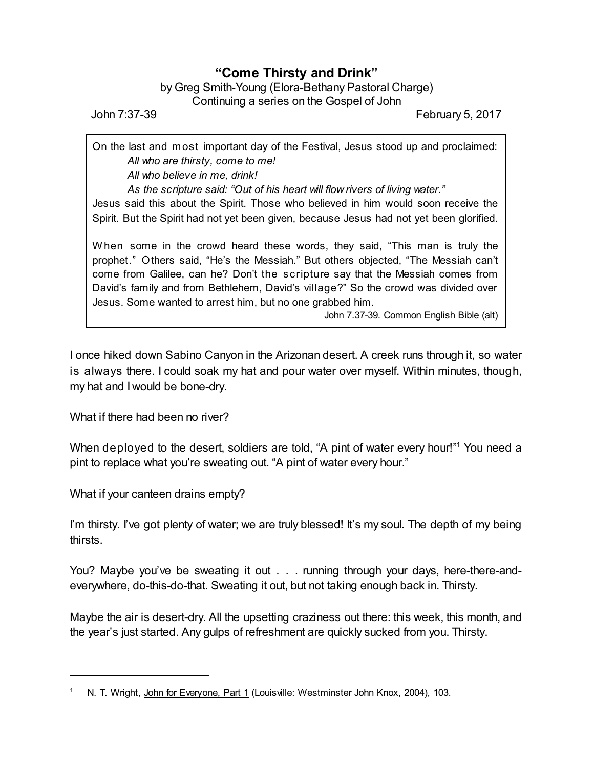## **"Come Thirsty and Drink"**

## by Greg Smith-Young (Elora-Bethany Pastoral Charge) Continuing a series on the Gospel of John

John 7:37-39 February 5, 2017

On the last and most important day of the Festival, Jesus stood up and proclaimed: *All who are thirsty, come to me!*

*All who believe in me, drink!*

*As the scripture said: "Out of his heart will flow rivers of living water."*

Jesus said this about the Spirit. Those who believed in him would soon receive the Spirit. But the Spirit had not yet been given, because Jesus had not yet been glorified.

When some in the crowd heard these words, they said, "This man is truly the prophet." Others said, "He's the Messiah." But others objected, "The Messiah can't come from Galilee, can he? Don't the scripture say that the Messiah comes from David's family and from Bethlehem, David's village?" So the crowd was divided over Jesus. Some wanted to arrest him, but no one grabbed him.

John 7.37-39. Common English Bible (alt)

I once hiked down Sabino Canyon in the Arizonan desert. A creek runs through it, so water is always there. I could soak my hat and pour water over myself. Within minutes, though, my hat and I would be bone-dry.

What if there had been no river?

When deployed to the desert, soldiers are told, "A pint of water every hour!"<sup>1</sup> You need a pint to replace what you're sweating out. "A pint of water every hour."

What if your canteen drains empty?

I'm thirsty. I've got plenty of water; we are truly blessed! It's my soul. The depth of my being thirsts.

You? Maybe you've be sweating it out . . . running through your days, here-there-andeverywhere, do-this-do-that. Sweating it out, but not taking enough back in. Thirsty.

Maybe the air is desert-dry. All the upsetting craziness out there: this week, this month, and the year's just started. Any gulps of refreshment are quickly sucked from you. Thirsty.

N. T. Wright, John for Everyone, Part 1 (Louisville: Westminster John Knox, 2004), 103.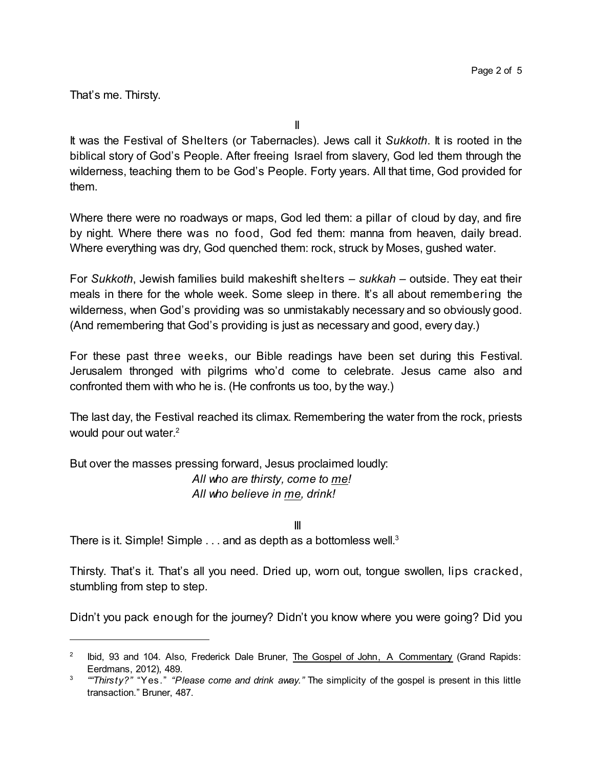That's me. Thirsty.

It was the Festival of Shelters (or Tabernacles). Jews call it *Sukkoth*. It is rooted in the biblical story of God's People. After freeing Israel from slavery, God led them through the wilderness, teaching them to be God's People. Forty years. All that time, God provided for them.

Where there were no roadways or maps, God led them: a pillar of cloud by day, and fire by night. Where there was no food, God fed them: manna from heaven, daily bread. Where everything was dry, God quenched them: rock, struck by Moses, gushed water.

For *Sukkoth*, Jewish families build makeshift shelters – *sukkah* – outside. They eat their meals in there for the whole week. Some sleep in there. It's all about remembering the wilderness, when God's providing was so unmistakably necessary and so obviously good. (And remembering that God's providing is just as necessary and good, every day.)

For these past three weeks, our Bible readings have been set during this Festival. Jerusalem thronged with pilgrims who'd come to celebrate. Jesus came also and confronted them with who he is. (He confronts us too, by the way.)

The last day, the Festival reached its climax. Remembering the water from the rock, priests would pour out water.<sup>2</sup>

But over the masses pressing forward, Jesus proclaimed loudly: *All who are thirsty, come to me! All who believe in me, drink!*

III

There is it. Simple! Simple  $\ldots$  and as depth as a bottomless well.<sup>3</sup>

Thirsty. That's it. That's all you need. Dried up, worn out, tongue swollen, lips cracked, stumbling from step to step.

Didn't you pack enough for the journey? Didn't you know where you were going? Did you

<sup>2</sup> Ibid, 93 and 104. Also, Frederick Dale Bruner, The Gospel of John, A Commentary (Grand Rapids: Eerdmans, 2012), 489.

<sup>3</sup> *""Thirsty?"* "Yes." *"Please come and drink away."* The simplicity of the gospel is present in this little transaction." Bruner, 487.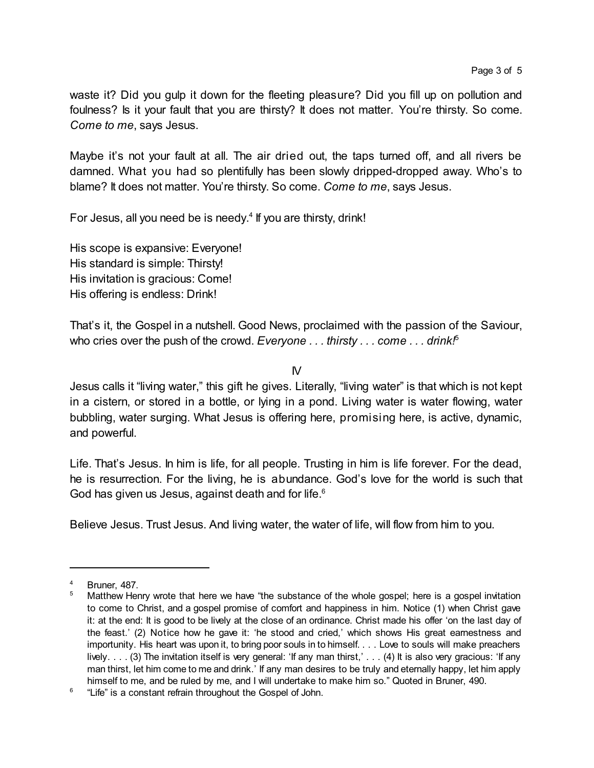waste it? Did you gulp it down for the fleeting pleasure? Did you fill up on pollution and foulness? Is it your fault that you are thirsty? It does not matter. You're thirsty. So come. *Come to me*, says Jesus.

Maybe it's not your fault at all. The air dried out, the taps turned off, and all rivers be damned. What you had so plentifully has been slowly dripped-dropped away. Who's to blame? It does not matter. You're thirsty. So come. *Come to me*, says Jesus.

For Jesus, all you need be is needy.<sup>4</sup> If you are thirsty, drink!

His scope is expansive: Everyone! His standard is simple: Thirsty! His invitation is gracious: Come! His offering is endless: Drink!

That's it, the Gospel in a nutshell. Good News, proclaimed with the passion of the Saviour, who cries over the push of the crowd. *Everyone . . . thirsty . . . come . . . drink!*<sup>5</sup>

 $N$ 

Jesus calls it "living water," this gift he gives. Literally, "living water" is that which is not kept in a cistern, or stored in a bottle, or lying in a pond. Living water is water flowing, water bubbling, water surging. What Jesus is offering here, promising here, is active, dynamic, and powerful.

Life. That's Jesus. In him is life, for all people. Trusting in him is life forever. For the dead, he is resurrection. For the living, he is abundance. God's love for the world is such that God has given us Jesus, against death and for life.<sup>6</sup>

Believe Jesus. Trust Jesus. And living water, the water of life, will flow from him to you.

<sup>4</sup> Bruner, 487.

<sup>5</sup> Matthew Henry wrote that here we have "the substance of the whole gospel; here is a gospel invitation to come to Christ, and a gospel promise of comfort and happiness in him. Notice (1) when Christ gave it: at the end: It is good to be lively at the close of an ordinance. Christ made his offer 'on the last day of the feast.' (2) Notice how he gave it: 'he stood and cried,' which shows His great earnestness and importunity. His heart was upon it, to bring poor souls in to himself. . . . Love to souls will make preachers lively. . . . (3) The invitation itself is very general: 'If any man thirst,' . . . (4) It is also very gracious: 'If any man thirst, let him come to me and drink.' If any man desires to be truly and eternally happy, let him apply himself to me, and be ruled by me, and I will undertake to make him so." Quoted in Bruner, 490.

<sup>&</sup>lt;sup>6</sup> "Life" is a constant refrain throughout the Gospel of John.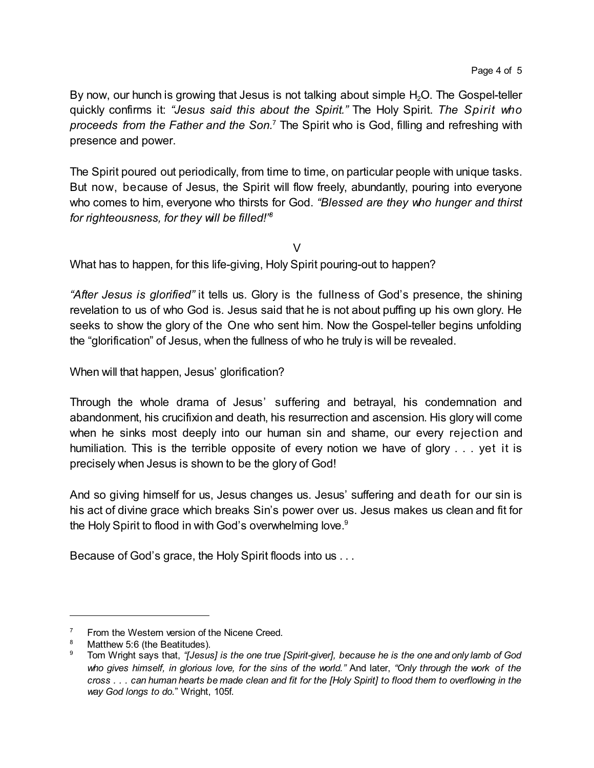By now, our hunch is growing that Jesus is not talking about simple  $H_2O$ . The Gospel-teller quickly confirms it: *"Jesus said this about the Spirit."* The Holy Spirit. *The Spirit who proceeds from the Father and the Son.*<sup>7</sup> The Spirit who is God, filling and refreshing with presence and power.

The Spirit poured out periodically, from time to time, on particular people with unique tasks. But now, because of Jesus, the Spirit will flow freely, abundantly, pouring into everyone who comes to him, everyone who thirsts for God. *"Blessed are they who hunger and thirst for righteousness, for they will be filled!" 8*

 $\vee$ 

What has to happen, for this life-giving, Holy Spirit pouring-out to happen?

*"After Jesus is glorified"* it tells us. Glory is the fullness of God's presence, the shining revelation to us of who God is. Jesus said that he is not about puffing up his own glory. He seeks to show the glory of the One who sent him. Now the Gospel-teller begins unfolding the "glorification" of Jesus, when the fullness of who he truly is will be revealed.

When will that happen, Jesus' glorification?

Through the whole drama of Jesus' suffering and betrayal, his condemnation and abandonment, his crucifixion and death, his resurrection and ascension. His glory will come when he sinks most deeply into our human sin and shame, our every rejection and humiliation. This is the terrible opposite of every notion we have of glory . . . yet it is precisely when Jesus is shown to be the glory of God!

And so giving himself for us, Jesus changes us. Jesus' suffering and death for our sin is his act of divine grace which breaks Sin's power over us. Jesus makes us clean and fit for the Holy Spirit to flood in with God's overwhelming love.<sup>9</sup>

Because of God's grace, the Holy Spirit floods into us . . .

From the Western version of the Nicene Creed.

<sup>&</sup>lt;sup>8</sup> Matthew 5:6 (the Beatitudes).<br><sup>9</sup> Tom Wright says that "Losus"

<sup>9</sup> Tom Wright says that, *"[Jesus] is the one true [Spirit-giver], because he is the one and only lamb of God* who gives himself, in glorious love, for the sins of the world." And later, "Only through the work of the cross . . . can human hearts be made clean and fit for the [Holy Spirit] to flood them to overflowing in the *way God longs to do.*" Wright, 105f.